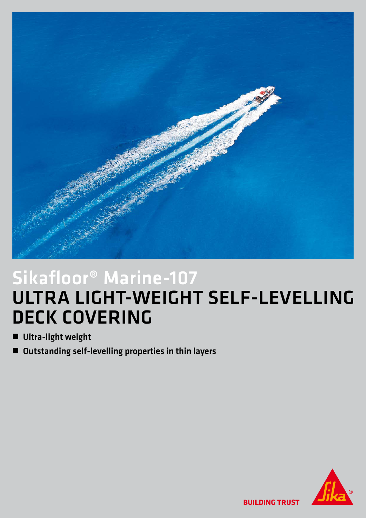

## Sikafloor® Marine-107 ULTRA LIGHT-WEIGHT SELF-LEVELLING DECK COVERING

- **n** Ultra-light weight
- Outstanding self-levelling properties in thin layers



**BUILDING TRUST**